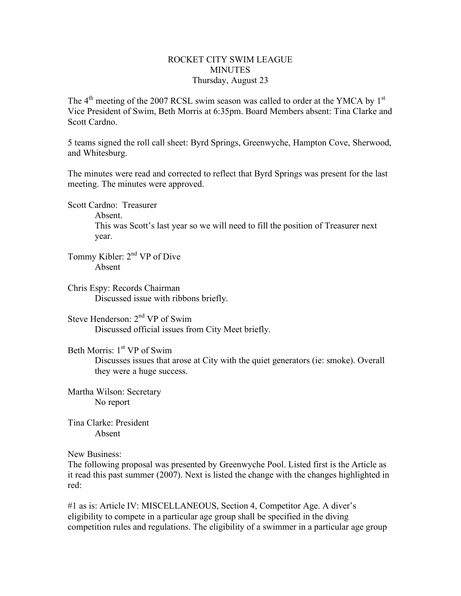## ROCKET CITY SWIM LEAGUE **MINUTES** Thursday, August 23

The  $4<sup>th</sup>$  meeting of the 2007 RCSL swim season was called to order at the YMCA by  $1<sup>st</sup>$ Vice President of Swim, Beth Morris at 6:35pm. Board Members absent: Tina Clarke and Scott Cardno.

5 teams signed the roll call sheet: Byrd Springs, Greenwyche, Hampton Cove, Sherwood, and Whitesburg.

The minutes were read and corrected to reflect that Byrd Springs was present for the last meeting. The minutes were approved.

Scott Cardno: Treasurer

Absent.

This was Scott's last year so we will need to fill the position of Treasurer next year.

Tommy Kibler: 2nd VP of Dive Absent

Chris Espy: Records Chairman Discussed issue with ribbons briefly.

Steve Henderson: 2<sup>nd</sup> VP of Swim Discussed official issues from City Meet briefly.

Beth Morris: 1<sup>st</sup> VP of Swim

Discusses issues that arose at City with the quiet generators (ie: smoke). Overall they were a huge success.

Martha Wilson: Secretary No report

Tina Clarke: President Absent

New Business:

The following proposal was presented by Greenwyche Pool. Listed first is the Article as it read this past summer (2007). Next is listed the change with the changes highlighted in red:

#1 as is: Article IV: MISCELLANEOUS, Section 4, Competitor Age. A diver's eligibility to compete in a particular age group shall be specified in the diving competition rules and regulations. The eligibility of a swimmer in a particular age group